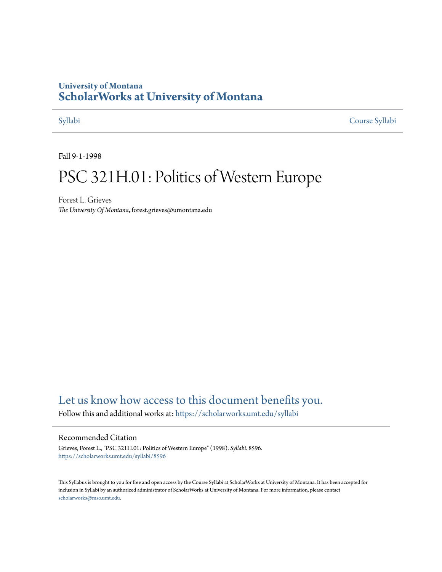## **University of Montana [ScholarWorks at University of Montana](https://scholarworks.umt.edu?utm_source=scholarworks.umt.edu%2Fsyllabi%2F8596&utm_medium=PDF&utm_campaign=PDFCoverPages)**

[Syllabi](https://scholarworks.umt.edu/syllabi?utm_source=scholarworks.umt.edu%2Fsyllabi%2F8596&utm_medium=PDF&utm_campaign=PDFCoverPages) [Course Syllabi](https://scholarworks.umt.edu/course_syllabi?utm_source=scholarworks.umt.edu%2Fsyllabi%2F8596&utm_medium=PDF&utm_campaign=PDFCoverPages)

Fall 9-1-1998

# PSC 321H.01: Politics of Western Europe

Forest L. Grieves *The University Of Montana*, forest.grieves@umontana.edu

# [Let us know how access to this document benefits you.](https://goo.gl/forms/s2rGfXOLzz71qgsB2)

Follow this and additional works at: [https://scholarworks.umt.edu/syllabi](https://scholarworks.umt.edu/syllabi?utm_source=scholarworks.umt.edu%2Fsyllabi%2F8596&utm_medium=PDF&utm_campaign=PDFCoverPages)

### Recommended Citation

Grieves, Forest L., "PSC 321H.01: Politics of Western Europe" (1998). *Syllabi*. 8596. [https://scholarworks.umt.edu/syllabi/8596](https://scholarworks.umt.edu/syllabi/8596?utm_source=scholarworks.umt.edu%2Fsyllabi%2F8596&utm_medium=PDF&utm_campaign=PDFCoverPages)

This Syllabus is brought to you for free and open access by the Course Syllabi at ScholarWorks at University of Montana. It has been accepted for inclusion in Syllabi by an authorized administrator of ScholarWorks at University of Montana. For more information, please contact [scholarworks@mso.umt.edu](mailto:scholarworks@mso.umt.edu).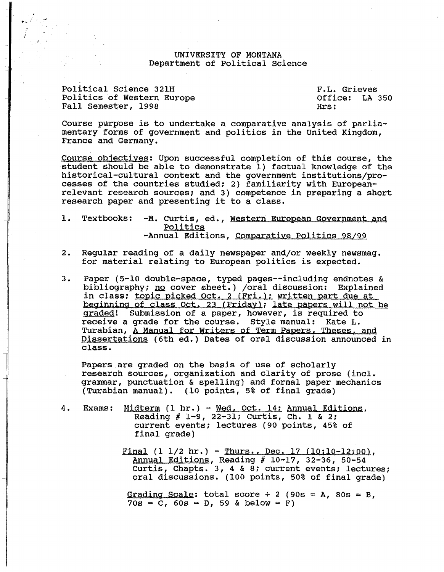#### UNIVERSITY OF MONTANA Department of Political science

Political Science 321H Politics of Western Europe Fall Semester, 1998

 $\bullet$  ,  $\overline{\phantom{a}}$ 

F.L. Grieves Office: LA 350 Hrs:

Course purpose is to undertake a comparative analysis of parliamentary forms of government and politics in the United Kingdom, France and Germany.

Course objectives: Upon successful completion of this course, the -student should be able to demonstrate 1) factual knowledge of the historical-cultural context and the government institutions/processes of the countries studied; 2) familiarity with Europeanrelevant research sources; and 3) competence in preparing a short research paper and presenting it to a class.

1. Textbooks: -M. Curtis, ed., Western European Government and Politic§ -Annual Editions, Comparative Politics 98/99

- 2. Regular reading of a daily newspaper and/or weekly newsmag. for material relating to European politics is expected.
- 3. Paper (5-10 double-space, typed pages--including endnotes & bibliography; <u>no</u> cover sheet.) /oral discussion: Explained in class; topic picked Oct. 2 (Fri.); written part due at beginning of class Oct. 23 (Friday); late papers will not be gradeg! Submission of a paper, however, is required to receive a grade for the course. Style manual: Kate L. Turabian, A Manual for Writers of Term Papers, Theses, and Dissertations (6th ed.) Dates of oral discussion announced in class.

Papers are graded on the basis of use of scholarly research sources, organization and clarity of prose (incl. grammar, punctuation & spelling) and formal paper mechanics (Turabian manual). (10 points, 5% of final grade)

- 4. Exams: Midterm (1 hr.) Wed, Oct. 14; Annual Editions, Reading # 1-9, 22-31; Curtis, Ch. 1 & 2; current events; lectures (90 points, 45% of final grade)
	- Final  $(1 \ 1/2 \ hr.)$  Thurs., Dec. 17  $(10:10-12:00)$ , Annual Editions, Reading # 10-17, 32-36, 50-54 Curtis, Chapts. 3, 4 & 8; current events; lectures; oral discussions. (100 points, 50% of final grade)

Grading Scale: total score  $\div$  2 (90s = A, 80s = B,  $70s = C$ ,  $60s = D$ , 59 & below = F)